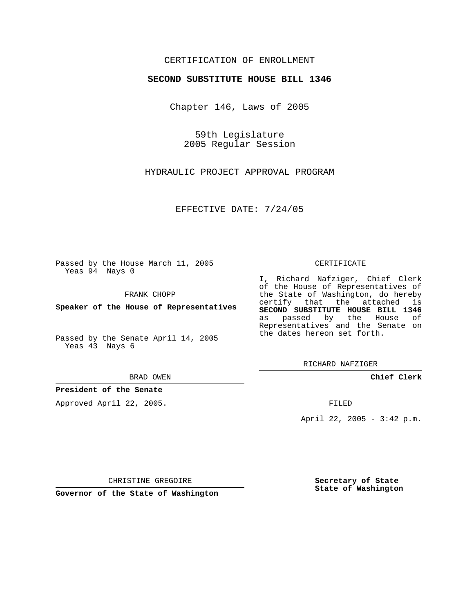# CERTIFICATION OF ENROLLMENT

#### **SECOND SUBSTITUTE HOUSE BILL 1346**

Chapter 146, Laws of 2005

59th Legislature 2005 Regular Session

HYDRAULIC PROJECT APPROVAL PROGRAM

EFFECTIVE DATE: 7/24/05

Passed by the House March 11, 2005 Yeas 94 Nays 0

FRANK CHOPP

**Speaker of the House of Representatives**

Passed by the Senate April 14, 2005 Yeas 43 Nays 6

BRAD OWEN

**President of the Senate**

Approved April 22, 2005.

#### CERTIFICATE

I, Richard Nafziger, Chief Clerk of the House of Representatives of the State of Washington, do hereby certify that the attached is **SECOND SUBSTITUTE HOUSE BILL 1346** as passed by the House of Representatives and the Senate on the dates hereon set forth.

RICHARD NAFZIGER

**Chief Clerk**

FILED

April 22, 2005 - 3:42 p.m.

CHRISTINE GREGOIRE

**Governor of the State of Washington**

**Secretary of State State of Washington**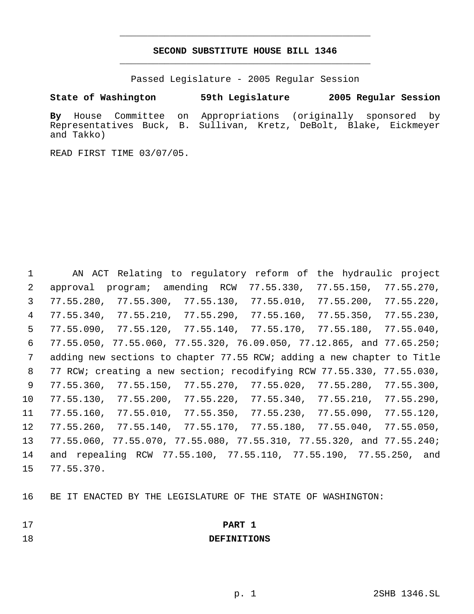# **SECOND SUBSTITUTE HOUSE BILL 1346** \_\_\_\_\_\_\_\_\_\_\_\_\_\_\_\_\_\_\_\_\_\_\_\_\_\_\_\_\_\_\_\_\_\_\_\_\_\_\_\_\_\_\_\_\_

\_\_\_\_\_\_\_\_\_\_\_\_\_\_\_\_\_\_\_\_\_\_\_\_\_\_\_\_\_\_\_\_\_\_\_\_\_\_\_\_\_\_\_\_\_

Passed Legislature - 2005 Regular Session

**State of Washington 59th Legislature 2005 Regular Session**

**By** House Committee on Appropriations (originally sponsored by Representatives Buck, B. Sullivan, Kretz, DeBolt, Blake, Eickmeyer and Takko)

READ FIRST TIME 03/07/05.

 AN ACT Relating to regulatory reform of the hydraulic project approval program; amending RCW 77.55.330, 77.55.150, 77.55.270, 77.55.280, 77.55.300, 77.55.130, 77.55.010, 77.55.200, 77.55.220, 77.55.340, 77.55.210, 77.55.290, 77.55.160, 77.55.350, 77.55.230, 77.55.090, 77.55.120, 77.55.140, 77.55.170, 77.55.180, 77.55.040, 77.55.050, 77.55.060, 77.55.320, 76.09.050, 77.12.865, and 77.65.250; adding new sections to chapter 77.55 RCW; adding a new chapter to Title 77 RCW; creating a new section; recodifying RCW 77.55.330, 77.55.030, 77.55.360, 77.55.150, 77.55.270, 77.55.020, 77.55.280, 77.55.300, 77.55.130, 77.55.200, 77.55.220, 77.55.340, 77.55.210, 77.55.290, 77.55.160, 77.55.010, 77.55.350, 77.55.230, 77.55.090, 77.55.120, 77.55.260, 77.55.140, 77.55.170, 77.55.180, 77.55.040, 77.55.050, 77.55.060, 77.55.070, 77.55.080, 77.55.310, 77.55.320, and 77.55.240; and repealing RCW 77.55.100, 77.55.110, 77.55.190, 77.55.250, and 77.55.370.

BE IT ENACTED BY THE LEGISLATURE OF THE STATE OF WASHINGTON:

| 17 | <b>PART</b> | -- |
|----|-------------|----|
|    |             |    |

**DEFINITIONS**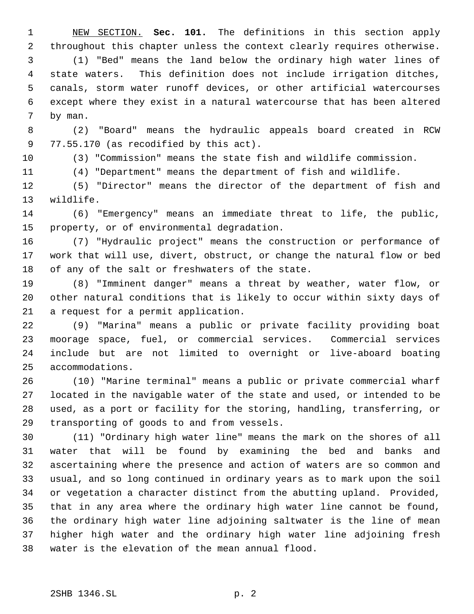NEW SECTION. **Sec. 101.** The definitions in this section apply throughout this chapter unless the context clearly requires otherwise. (1) "Bed" means the land below the ordinary high water lines of state waters. This definition does not include irrigation ditches, canals, storm water runoff devices, or other artificial watercourses except where they exist in a natural watercourse that has been altered by man.

 (2) "Board" means the hydraulic appeals board created in RCW 77.55.170 (as recodified by this act).

(3) "Commission" means the state fish and wildlife commission.

(4) "Department" means the department of fish and wildlife.

 (5) "Director" means the director of the department of fish and wildlife.

 (6) "Emergency" means an immediate threat to life, the public, property, or of environmental degradation.

 (7) "Hydraulic project" means the construction or performance of work that will use, divert, obstruct, or change the natural flow or bed of any of the salt or freshwaters of the state.

 (8) "Imminent danger" means a threat by weather, water flow, or other natural conditions that is likely to occur within sixty days of a request for a permit application.

 (9) "Marina" means a public or private facility providing boat moorage space, fuel, or commercial services. Commercial services include but are not limited to overnight or live-aboard boating accommodations.

 (10) "Marine terminal" means a public or private commercial wharf located in the navigable water of the state and used, or intended to be used, as a port or facility for the storing, handling, transferring, or transporting of goods to and from vessels.

 (11) "Ordinary high water line" means the mark on the shores of all water that will be found by examining the bed and banks and ascertaining where the presence and action of waters are so common and usual, and so long continued in ordinary years as to mark upon the soil or vegetation a character distinct from the abutting upland. Provided, that in any area where the ordinary high water line cannot be found, the ordinary high water line adjoining saltwater is the line of mean higher high water and the ordinary high water line adjoining fresh water is the elevation of the mean annual flood.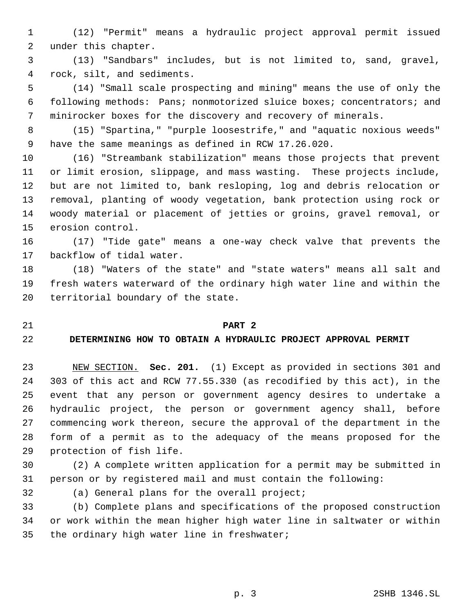- (12) "Permit" means a hydraulic project approval permit issued under this chapter.
- (13) "Sandbars" includes, but is not limited to, sand, gravel, rock, silt, and sediments.
- (14) "Small scale prospecting and mining" means the use of only the following methods: Pans; nonmotorized sluice boxes; concentrators; and minirocker boxes for the discovery and recovery of minerals.
- (15) "Spartina," "purple loosestrife," and "aquatic noxious weeds" have the same meanings as defined in RCW 17.26.020.
- (16) "Streambank stabilization" means those projects that prevent or limit erosion, slippage, and mass wasting. These projects include, but are not limited to, bank resloping, log and debris relocation or removal, planting of woody vegetation, bank protection using rock or woody material or placement of jetties or groins, gravel removal, or erosion control.
- (17) "Tide gate" means a one-way check valve that prevents the backflow of tidal water.
- (18) "Waters of the state" and "state waters" means all salt and fresh waters waterward of the ordinary high water line and within the territorial boundary of the state.

#### **PART 2**

#### **DETERMINING HOW TO OBTAIN A HYDRAULIC PROJECT APPROVAL PERMIT**

 NEW SECTION. **Sec. 201.** (1) Except as provided in sections 301 and 303 of this act and RCW 77.55.330 (as recodified by this act), in the event that any person or government agency desires to undertake a hydraulic project, the person or government agency shall, before commencing work thereon, secure the approval of the department in the form of a permit as to the adequacy of the means proposed for the protection of fish life.

 (2) A complete written application for a permit may be submitted in person or by registered mail and must contain the following:

(a) General plans for the overall project;

 (b) Complete plans and specifications of the proposed construction or work within the mean higher high water line in saltwater or within the ordinary high water line in freshwater;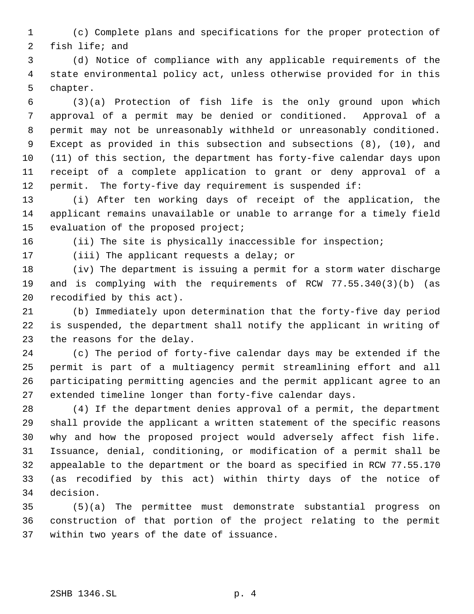(c) Complete plans and specifications for the proper protection of fish life; and

 (d) Notice of compliance with any applicable requirements of the state environmental policy act, unless otherwise provided for in this chapter.

 (3)(a) Protection of fish life is the only ground upon which approval of a permit may be denied or conditioned. Approval of a permit may not be unreasonably withheld or unreasonably conditioned. Except as provided in this subsection and subsections (8), (10), and (11) of this section, the department has forty-five calendar days upon receipt of a complete application to grant or deny approval of a permit. The forty-five day requirement is suspended if:

 (i) After ten working days of receipt of the application, the applicant remains unavailable or unable to arrange for a timely field evaluation of the proposed project;

(ii) The site is physically inaccessible for inspection;

(iii) The applicant requests a delay; or

 (iv) The department is issuing a permit for a storm water discharge and is complying with the requirements of RCW 77.55.340(3)(b) (as recodified by this act).

 (b) Immediately upon determination that the forty-five day period is suspended, the department shall notify the applicant in writing of the reasons for the delay.

 (c) The period of forty-five calendar days may be extended if the permit is part of a multiagency permit streamlining effort and all participating permitting agencies and the permit applicant agree to an extended timeline longer than forty-five calendar days.

 (4) If the department denies approval of a permit, the department shall provide the applicant a written statement of the specific reasons why and how the proposed project would adversely affect fish life. Issuance, denial, conditioning, or modification of a permit shall be appealable to the department or the board as specified in RCW 77.55.170 (as recodified by this act) within thirty days of the notice of decision.

 (5)(a) The permittee must demonstrate substantial progress on construction of that portion of the project relating to the permit within two years of the date of issuance.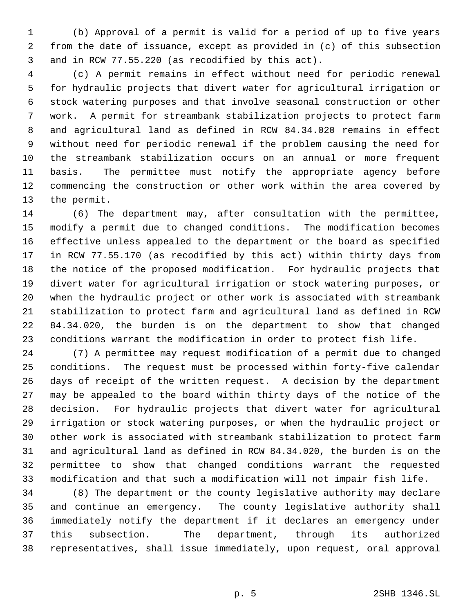(b) Approval of a permit is valid for a period of up to five years from the date of issuance, except as provided in (c) of this subsection and in RCW 77.55.220 (as recodified by this act).

 (c) A permit remains in effect without need for periodic renewal for hydraulic projects that divert water for agricultural irrigation or stock watering purposes and that involve seasonal construction or other work. A permit for streambank stabilization projects to protect farm and agricultural land as defined in RCW 84.34.020 remains in effect without need for periodic renewal if the problem causing the need for the streambank stabilization occurs on an annual or more frequent basis. The permittee must notify the appropriate agency before commencing the construction or other work within the area covered by the permit.

 (6) The department may, after consultation with the permittee, modify a permit due to changed conditions. The modification becomes effective unless appealed to the department or the board as specified in RCW 77.55.170 (as recodified by this act) within thirty days from the notice of the proposed modification. For hydraulic projects that divert water for agricultural irrigation or stock watering purposes, or when the hydraulic project or other work is associated with streambank stabilization to protect farm and agricultural land as defined in RCW 84.34.020, the burden is on the department to show that changed conditions warrant the modification in order to protect fish life.

 (7) A permittee may request modification of a permit due to changed conditions. The request must be processed within forty-five calendar days of receipt of the written request. A decision by the department may be appealed to the board within thirty days of the notice of the decision. For hydraulic projects that divert water for agricultural irrigation or stock watering purposes, or when the hydraulic project or other work is associated with streambank stabilization to protect farm and agricultural land as defined in RCW 84.34.020, the burden is on the permittee to show that changed conditions warrant the requested modification and that such a modification will not impair fish life.

 (8) The department or the county legislative authority may declare and continue an emergency. The county legislative authority shall immediately notify the department if it declares an emergency under this subsection. The department, through its authorized representatives, shall issue immediately, upon request, oral approval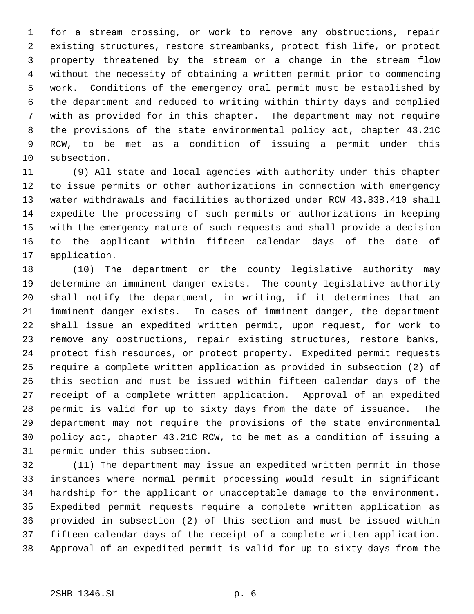for a stream crossing, or work to remove any obstructions, repair existing structures, restore streambanks, protect fish life, or protect property threatened by the stream or a change in the stream flow without the necessity of obtaining a written permit prior to commencing work. Conditions of the emergency oral permit must be established by the department and reduced to writing within thirty days and complied with as provided for in this chapter. The department may not require the provisions of the state environmental policy act, chapter 43.21C RCW, to be met as a condition of issuing a permit under this subsection.

 (9) All state and local agencies with authority under this chapter to issue permits or other authorizations in connection with emergency water withdrawals and facilities authorized under RCW 43.83B.410 shall expedite the processing of such permits or authorizations in keeping with the emergency nature of such requests and shall provide a decision to the applicant within fifteen calendar days of the date of application.

 (10) The department or the county legislative authority may determine an imminent danger exists. The county legislative authority shall notify the department, in writing, if it determines that an imminent danger exists. In cases of imminent danger, the department shall issue an expedited written permit, upon request, for work to remove any obstructions, repair existing structures, restore banks, protect fish resources, or protect property. Expedited permit requests require a complete written application as provided in subsection (2) of this section and must be issued within fifteen calendar days of the receipt of a complete written application. Approval of an expedited permit is valid for up to sixty days from the date of issuance. The department may not require the provisions of the state environmental policy act, chapter 43.21C RCW, to be met as a condition of issuing a permit under this subsection.

 (11) The department may issue an expedited written permit in those instances where normal permit processing would result in significant hardship for the applicant or unacceptable damage to the environment. Expedited permit requests require a complete written application as provided in subsection (2) of this section and must be issued within fifteen calendar days of the receipt of a complete written application. Approval of an expedited permit is valid for up to sixty days from the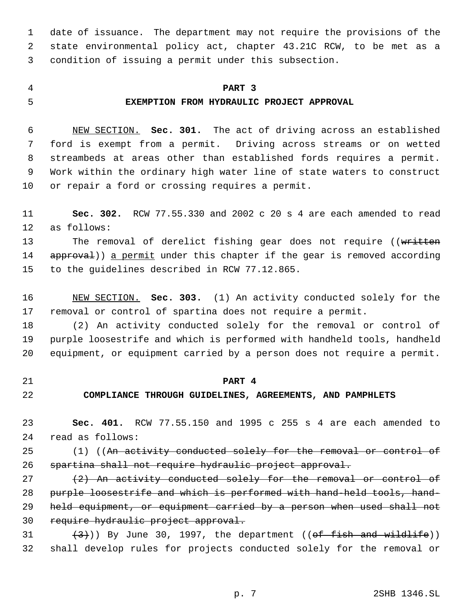date of issuance. The department may not require the provisions of the state environmental policy act, chapter 43.21C RCW, to be met as a condition of issuing a permit under this subsection.

# **PART 3**

# **EXEMPTION FROM HYDRAULIC PROJECT APPROVAL**

 NEW SECTION. **Sec. 301.** The act of driving across an established ford is exempt from a permit. Driving across streams or on wetted streambeds at areas other than established fords requires a permit. Work within the ordinary high water line of state waters to construct or repair a ford or crossing requires a permit.

 **Sec. 302.** RCW 77.55.330 and 2002 c 20 s 4 are each amended to read as follows:

13 The removal of derelict fishing gear does not require ((written 14 approval)) a permit under this chapter if the gear is removed according to the guidelines described in RCW 77.12.865.

 NEW SECTION. **Sec. 303.** (1) An activity conducted solely for the removal or control of spartina does not require a permit.

 (2) An activity conducted solely for the removal or control of purple loosestrife and which is performed with handheld tools, handheld equipment, or equipment carried by a person does not require a permit.

#### **PART 4**

# **COMPLIANCE THROUGH GUIDELINES, AGREEMENTS, AND PAMPHLETS**

 **Sec. 401.** RCW 77.55.150 and 1995 c 255 s 4 are each amended to read as follows:

25 (1) ((An activity conducted solely for the removal or control of spartina shall not require hydraulic project approval.

 $(2)$  An activity conducted solely for the removal or control of purple loosestrife and which is performed with hand-held tools, hand- held equipment, or equipment carried by a person when used shall not require hydraulic project approval.

31  $(3)$  By June 30, 1997, the department ((of fish and wildlife)) shall develop rules for projects conducted solely for the removal or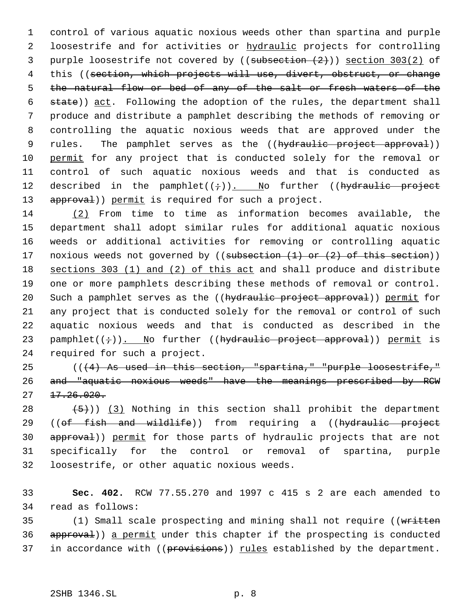1 control of various aquatic noxious weeds other than spartina and purple 2 loosestrife and for activities or hydraulic projects for controlling 3 purple loosestrife not covered by  $(($ subsection  $(2)$ )) section 303(2) of 4 this ((section, which projects will use, divert, obstruct, or change 5 the natural flow or bed of any of the salt or fresh waters of the 6 state)) act. Following the adoption of the rules, the department shall 7 produce and distribute a pamphlet describing the methods of removing or 8 controlling the aquatic noxious weeds that are approved under the 9 rules. The pamphlet serves as the ((hydraulic project approval)) 10 permit for any project that is conducted solely for the removal or 11 control of such aquatic noxious weeds and that is conducted as 12 described in the pamphlet( $(+)$ ). No further ((hydraulic project 13 approval)) permit is required for such a project.

 (2) From time to time as information becomes available, the department shall adopt similar rules for additional aquatic noxious weeds or additional activities for removing or controlling aquatic 17 noxious weeds not governed by ((subsection (1) or (2) of this section)) sections 303 (1) and (2) of this act and shall produce and distribute one or more pamphlets describing these methods of removal or control. 20 Such a pamphlet serves as the ((hydraulic project approval)) permit for any project that is conducted solely for the removal or control of such aquatic noxious weeds and that is conducted as described in the 23 pamphlet( $(+)$ ). No further ((hydraulic project approval)) permit is required for such a project.

25  $((4)$  As used in this section, "spartina," "purple loosestrife," 26 and "aquatic noxious weeds" have the meanings prescribed by RCW  $27 \quad 17.26.020.$ 

28  $(5)$ )) (3) Nothing in this section shall prohibit the department 29 ((of fish and wildlife)) from requiring a ((hydraulic project 30 approval)) permit for those parts of hydraulic projects that are not 31 specifically for the control or removal of spartina, purple 32 loosestrife, or other aquatic noxious weeds.

33 **Sec. 402.** RCW 77.55.270 and 1997 c 415 s 2 are each amended to 34 read as follows:

35 (1) Small scale prospecting and mining shall not require ((written 36 approval)) a permit under this chapter if the prospecting is conducted 37 in accordance with  $((previsions))$  <u>rules</u> established by the department.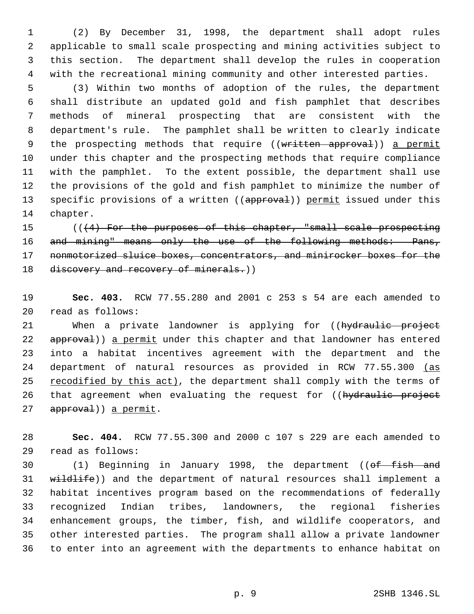(2) By December 31, 1998, the department shall adopt rules applicable to small scale prospecting and mining activities subject to this section. The department shall develop the rules in cooperation with the recreational mining community and other interested parties.

 (3) Within two months of adoption of the rules, the department shall distribute an updated gold and fish pamphlet that describes methods of mineral prospecting that are consistent with the department's rule. The pamphlet shall be written to clearly indicate 9 the prospecting methods that require ((written approval)) a permit under this chapter and the prospecting methods that require compliance with the pamphlet. To the extent possible, the department shall use the provisions of the gold and fish pamphlet to minimize the number of 13 specific provisions of a written ((approval)) permit issued under this chapter.

 (((4) For the purposes of this chapter, "small scale prospecting 16 and mining" means only the use of the following methods: Pans, nonmotorized sluice boxes, concentrators, and minirocker boxes for the 18 discovery and recovery of minerals.))

 **Sec. 403.** RCW 77.55.280 and 2001 c 253 s 54 are each amended to read as follows:

21 When a private landowner is applying for ((hydraulic project 22 approval)) a permit under this chapter and that landowner has entered into a habitat incentives agreement with the department and the 24 department of natural resources as provided in RCW 77.55.300 (as 25 recodified by this act), the department shall comply with the terms of 26 that agreement when evaluating the request for ((hydraulic project 27 approval)) a permit.

 **Sec. 404.** RCW 77.55.300 and 2000 c 107 s 229 are each amended to read as follows:

30 (1) Beginning in January 1998, the department ((of fish and 31 wildlife)) and the department of natural resources shall implement a habitat incentives program based on the recommendations of federally recognized Indian tribes, landowners, the regional fisheries enhancement groups, the timber, fish, and wildlife cooperators, and other interested parties. The program shall allow a private landowner to enter into an agreement with the departments to enhance habitat on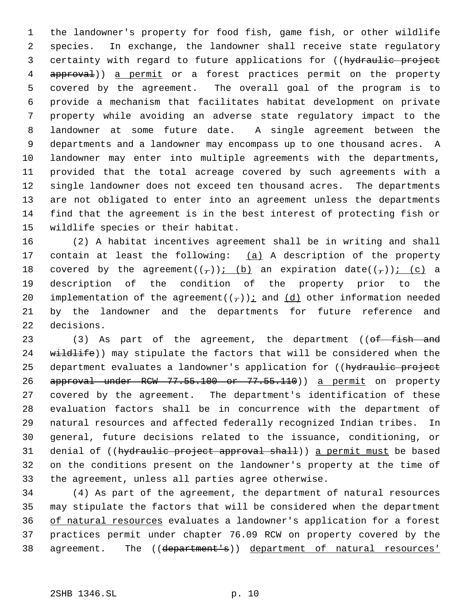the landowner's property for food fish, game fish, or other wildlife species. In exchange, the landowner shall receive state regulatory 3 certainty with regard to future applications for ((hydraulic project 4 approval)) a permit or a forest practices permit on the property covered by the agreement. The overall goal of the program is to provide a mechanism that facilitates habitat development on private property while avoiding an adverse state regulatory impact to the landowner at some future date. A single agreement between the departments and a landowner may encompass up to one thousand acres. A landowner may enter into multiple agreements with the departments, provided that the total acreage covered by such agreements with a single landowner does not exceed ten thousand acres. The departments are not obligated to enter into an agreement unless the departments find that the agreement is in the best interest of protecting fish or wildlife species or their habitat.

 (2) A habitat incentives agreement shall be in writing and shall 17 contain at least the following:  $(a)$  A description of the property 18 covered by the agreement( $(\tau)$ ); (b) an expiration date( $(\tau)$ ); (c) a description of the condition of the property prior to the 20 implementation of the agreement( $(\tau)$ ); and  $(d)$  other information needed by the landowner and the departments for future reference and decisions.

23 (3) As part of the agreement, the department ((of fish and 24 wildlife)) may stipulate the factors that will be considered when the 25 department evaluates a landowner's application for ((hydraulic project 26 approval under RCW 77.55.100 or 77.55.110) a permit on property covered by the agreement. The department's identification of these evaluation factors shall be in concurrence with the department of natural resources and affected federally recognized Indian tribes. In general, future decisions related to the issuance, conditioning, or 31 denial of ((hydraulic project approval shall)) a permit must be based on the conditions present on the landowner's property at the time of the agreement, unless all parties agree otherwise.

 (4) As part of the agreement, the department of natural resources may stipulate the factors that will be considered when the department of natural resources evaluates a landowner's application for a forest practices permit under chapter 76.09 RCW on property covered by the 38 agreement. The ((department's)) department of natural resources'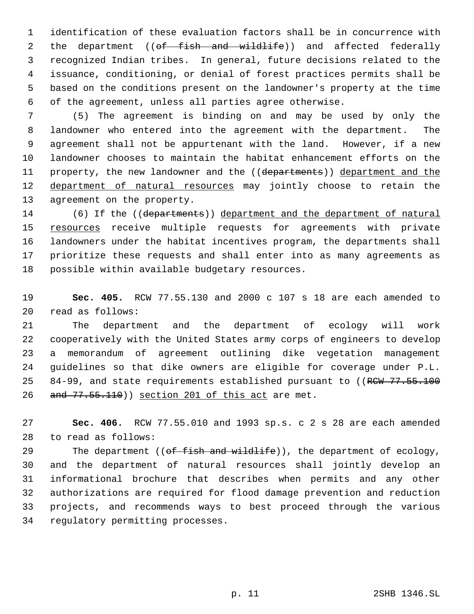identification of these evaluation factors shall be in concurrence with 2 the department (( $\theta f$  fish and wildlife)) and affected federally recognized Indian tribes. In general, future decisions related to the issuance, conditioning, or denial of forest practices permits shall be based on the conditions present on the landowner's property at the time of the agreement, unless all parties agree otherwise.

 (5) The agreement is binding on and may be used by only the landowner who entered into the agreement with the department. The agreement shall not be appurtenant with the land. However, if a new landowner chooses to maintain the habitat enhancement efforts on the 11 property, the new landowner and the ((departments)) department and the 12 department of natural resources may jointly choose to retain the agreement on the property.

14 (6) If the ((departments)) department and the department of natural 15 resources receive multiple requests for agreements with private landowners under the habitat incentives program, the departments shall prioritize these requests and shall enter into as many agreements as possible within available budgetary resources.

 **Sec. 405.** RCW 77.55.130 and 2000 c 107 s 18 are each amended to read as follows:

 The department and the department of ecology will work cooperatively with the United States army corps of engineers to develop a memorandum of agreement outlining dike vegetation management guidelines so that dike owners are eligible for coverage under P.L. 25 84-99, and state requirements established pursuant to ((RCW 77.55.100 26 and 77.55.110)) section 201 of this act are met.

 **Sec. 406.** RCW 77.55.010 and 1993 sp.s. c 2 s 28 are each amended to read as follows:

29 The department ((of fish and wildlife)), the department of ecology, and the department of natural resources shall jointly develop an informational brochure that describes when permits and any other authorizations are required for flood damage prevention and reduction projects, and recommends ways to best proceed through the various regulatory permitting processes.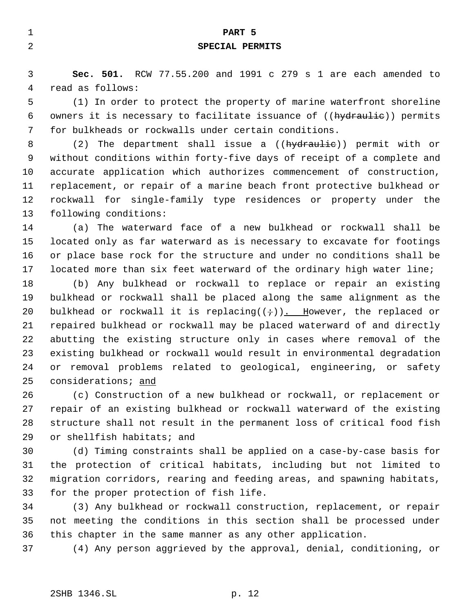| 1  | PART 5                                                                     |  |  |
|----|----------------------------------------------------------------------------|--|--|
| 2  | SPECIAL PERMITS                                                            |  |  |
|    |                                                                            |  |  |
| 3  | Sec. 501. RCW 77.55.200 and 1991 c 279 s 1 are each amended to             |  |  |
| 4  | read as follows:                                                           |  |  |
| 5  | (1) In order to protect the property of marine waterfront shoreline        |  |  |
| 6  | owners it is necessary to facilitate issuance of ((hydraulie)) permits     |  |  |
| 7  | for bulkheads or rockwalls under certain conditions.                       |  |  |
| 8  | (2) The department shall issue a (( <del>hydraulic</del> )) permit with or |  |  |
| 9  | without conditions within forty-five days of receipt of a complete and     |  |  |
| 10 | accurate application which authorizes commencement of construction,        |  |  |
| 11 | replacement, or repair of a marine beach front protective bulkhead or      |  |  |
| 12 | rockwall for single-family type residences or property under the           |  |  |
| 13 | following conditions:                                                      |  |  |
| 14 | (a) The waterward face of a new bulkhead or rockwall shall be              |  |  |
| 15 | located only as far waterward as is necessary to excavate for footings     |  |  |

 or place base rock for the structure and under no conditions shall be located more than six feet waterward of the ordinary high water line;

 (b) Any bulkhead or rockwall to replace or repair an existing bulkhead or rockwall shall be placed along the same alignment as the 20 bulkhead or rockwall it is replacing( $(i)$ ). However, the replaced or repaired bulkhead or rockwall may be placed waterward of and directly abutting the existing structure only in cases where removal of the existing bulkhead or rockwall would result in environmental degradation or removal problems related to geological, engineering, or safety considerations; and

 (c) Construction of a new bulkhead or rockwall, or replacement or repair of an existing bulkhead or rockwall waterward of the existing structure shall not result in the permanent loss of critical food fish or shellfish habitats; and

 (d) Timing constraints shall be applied on a case-by-case basis for the protection of critical habitats, including but not limited to migration corridors, rearing and feeding areas, and spawning habitats, for the proper protection of fish life.

 (3) Any bulkhead or rockwall construction, replacement, or repair not meeting the conditions in this section shall be processed under this chapter in the same manner as any other application.

(4) Any person aggrieved by the approval, denial, conditioning, or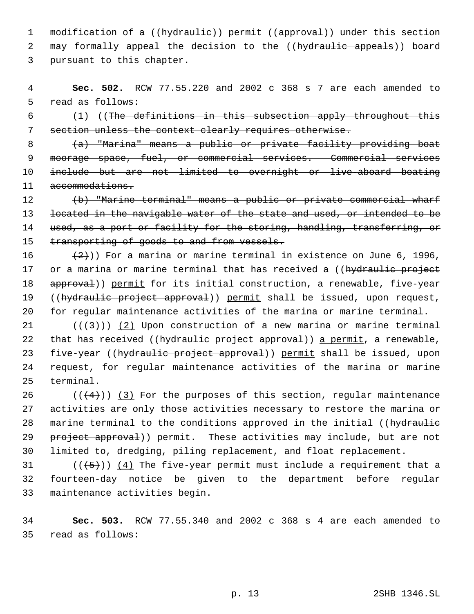1 modification of a ((hydraulie)) permit ((approval)) under this section 2 may formally appeal the decision to the ((hydraulic appeals)) board 3 pursuant to this chapter.

 4 **Sec. 502.** RCW 77.55.220 and 2002 c 368 s 7 are each amended to 5 read as follows:

 6 (1) ((The definitions in this subsection apply throughout this 7 section unless the context clearly requires otherwise.

 (a) "Marina" means a public or private facility providing boat moorage space, fuel, or commercial services. Commercial services include but are not limited to overnight or live-aboard boating 11 accommodations.

12 (b) "Marine terminal" means a public or private commercial wharf 13 located in the navigable water of the state and used, or intended to be 14 used, as a port or facility for the storing, handling, transferring, or 15 transporting of goods to and from vessels.

16  $(2)$ )) For a marina or marine terminal in existence on June 6, 1996, 17 or a marina or marine terminal that has received a ((hydraulic project 18 approval)) permit for its initial construction, a renewable, five-year 19 ((hydraulic project approval)) permit shall be issued, upon request, 20 for regular maintenance activities of the marina or marine terminal.

21 ( $(\frac{43}{})$ ) (2) Upon construction of a new marina or marine terminal 22 that has received ((hydraulic project approval)) a permit, a renewable, 23 five-year ((hydraulic project approval)) permit shall be issued, upon 24 request, for regular maintenance activities of the marina or marine 25 terminal.

26 ( $(\frac{4}{4})$ ) (3) For the purposes of this section, regular maintenance 27 activities are only those activities necessary to restore the marina or 28 marine terminal to the conditions approved in the initial ((hydraulie 29 project approval)) permit. These activities may include, but are not 30 limited to, dredging, piling replacement, and float replacement.

31 ( $(\overline{\smash{.6}})$ ) (4) The five-year permit must include a requirement that a 32 fourteen-day notice be given to the department before regular 33 maintenance activities begin.

34 **Sec. 503.** RCW 77.55.340 and 2002 c 368 s 4 are each amended to 35 read as follows: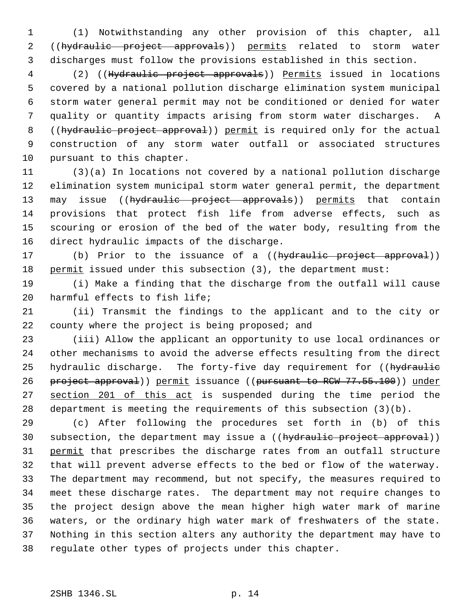(1) Notwithstanding any other provision of this chapter, all 2 ((hydraulic project approvals)) permits related to storm water discharges must follow the provisions established in this section.

 (2) ((Hydraulic project approvals)) Permits issued in locations covered by a national pollution discharge elimination system municipal storm water general permit may not be conditioned or denied for water quality or quantity impacts arising from storm water discharges. A 8 ((hydraulic project approval)) permit is required only for the actual construction of any storm water outfall or associated structures pursuant to this chapter.

 (3)(a) In locations not covered by a national pollution discharge elimination system municipal storm water general permit, the department 13 may issue ((hydraulic project approvals)) permits that contain provisions that protect fish life from adverse effects, such as scouring or erosion of the bed of the water body, resulting from the direct hydraulic impacts of the discharge.

17 (b) Prior to the issuance of a ((hydraulic project approval)) 18 permit issued under this subsection (3), the department must:

 (i) Make a finding that the discharge from the outfall will cause harmful effects to fish life;

 (ii) Transmit the findings to the applicant and to the city or 22 county where the project is being proposed; and

 (iii) Allow the applicant an opportunity to use local ordinances or other mechanisms to avoid the adverse effects resulting from the direct 25 hydraulic discharge. The forty-five day requirement for ((hydraulie 26 project approval)) permit issuance ((pursuant to RCW 77.55.100)) under 27 section 201 of this act is suspended during the time period the department is meeting the requirements of this subsection (3)(b).

 (c) After following the procedures set forth in (b) of this 30 subsection, the department may issue a ((hydraulic project approval)) 31 permit that prescribes the discharge rates from an outfall structure that will prevent adverse effects to the bed or flow of the waterway. The department may recommend, but not specify, the measures required to meet these discharge rates. The department may not require changes to the project design above the mean higher high water mark of marine waters, or the ordinary high water mark of freshwaters of the state. Nothing in this section alters any authority the department may have to regulate other types of projects under this chapter.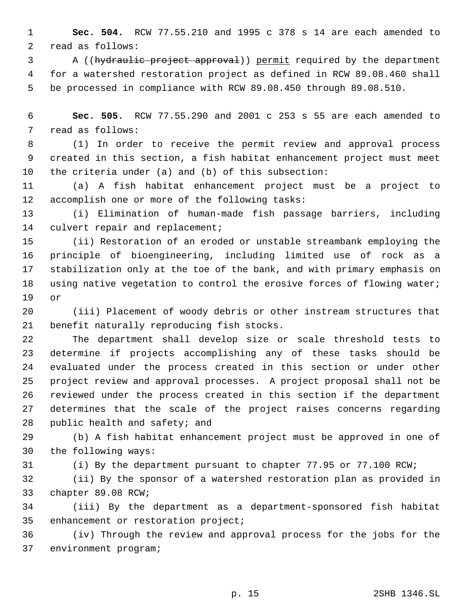**Sec. 504.** RCW 77.55.210 and 1995 c 378 s 14 are each amended to read as follows:

 A ((hydraulic project approval)) permit required by the department for a watershed restoration project as defined in RCW 89.08.460 shall be processed in compliance with RCW 89.08.450 through 89.08.510.

 **Sec. 505.** RCW 77.55.290 and 2001 c 253 s 55 are each amended to read as follows:

 (1) In order to receive the permit review and approval process created in this section, a fish habitat enhancement project must meet the criteria under (a) and (b) of this subsection:

 (a) A fish habitat enhancement project must be a project to accomplish one or more of the following tasks:

 (i) Elimination of human-made fish passage barriers, including culvert repair and replacement;

 (ii) Restoration of an eroded or unstable streambank employing the principle of bioengineering, including limited use of rock as a stabilization only at the toe of the bank, and with primary emphasis on using native vegetation to control the erosive forces of flowing water; or

 (iii) Placement of woody debris or other instream structures that benefit naturally reproducing fish stocks.

 The department shall develop size or scale threshold tests to determine if projects accomplishing any of these tasks should be evaluated under the process created in this section or under other project review and approval processes. A project proposal shall not be reviewed under the process created in this section if the department determines that the scale of the project raises concerns regarding public health and safety; and

 (b) A fish habitat enhancement project must be approved in one of the following ways:

(i) By the department pursuant to chapter 77.95 or 77.100 RCW;

 (ii) By the sponsor of a watershed restoration plan as provided in chapter 89.08 RCW;

 (iii) By the department as a department-sponsored fish habitat enhancement or restoration project;

 (iv) Through the review and approval process for the jobs for the environment program;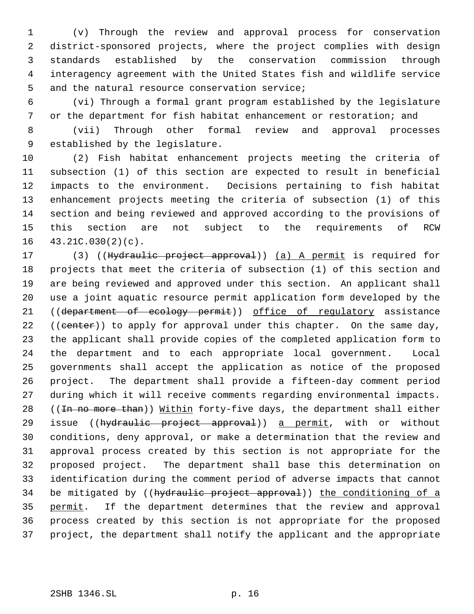(v) Through the review and approval process for conservation district-sponsored projects, where the project complies with design standards established by the conservation commission through interagency agreement with the United States fish and wildlife service and the natural resource conservation service;

 (vi) Through a formal grant program established by the legislature or the department for fish habitat enhancement or restoration; and

 (vii) Through other formal review and approval processes established by the legislature.

 (2) Fish habitat enhancement projects meeting the criteria of subsection (1) of this section are expected to result in beneficial impacts to the environment. Decisions pertaining to fish habitat enhancement projects meeting the criteria of subsection (1) of this section and being reviewed and approved according to the provisions of this section are not subject to the requirements of RCW 43.21C.030(2)(c).

17 (3) ((Hydraulic project approval)) (a) A permit is required for projects that meet the criteria of subsection (1) of this section and are being reviewed and approved under this section. An applicant shall use a joint aquatic resource permit application form developed by the 21 ((department of ecology permit)) office of regulatory assistance 22 ((center)) to apply for approval under this chapter. On the same day, the applicant shall provide copies of the completed application form to the department and to each appropriate local government. Local governments shall accept the application as notice of the proposed project. The department shall provide a fifteen-day comment period during which it will receive comments regarding environmental impacts. 28 ((In no more than)) Within forty-five days, the department shall either 29 issue ((hydraulic project approval)) a permit, with or without conditions, deny approval, or make a determination that the review and approval process created by this section is not appropriate for the proposed project. The department shall base this determination on identification during the comment period of adverse impacts that cannot 34 be mitigated by ((hydraulic project approval)) the conditioning of a 35 permit. If the department determines that the review and approval process created by this section is not appropriate for the proposed project, the department shall notify the applicant and the appropriate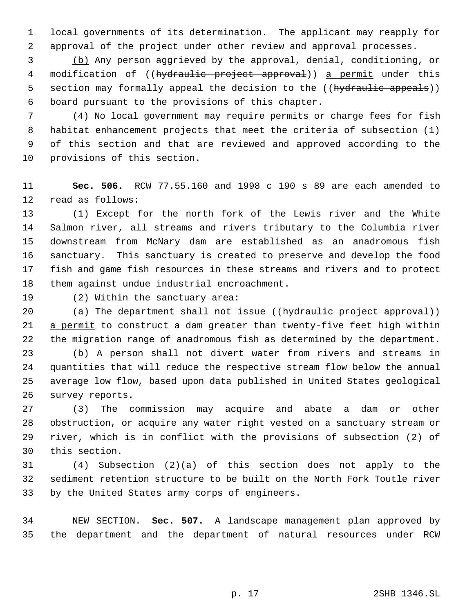local governments of its determination. The applicant may reapply for approval of the project under other review and approval processes.

 (b) Any person aggrieved by the approval, denial, conditioning, or 4 modification of ((hydraulic project approval)) a permit under this 5 section may formally appeal the decision to the ((hydraulic appeals)) board pursuant to the provisions of this chapter.

 (4) No local government may require permits or charge fees for fish habitat enhancement projects that meet the criteria of subsection (1) of this section and that are reviewed and approved according to the provisions of this section.

 **Sec. 506.** RCW 77.55.160 and 1998 c 190 s 89 are each amended to read as follows:

 (1) Except for the north fork of the Lewis river and the White Salmon river, all streams and rivers tributary to the Columbia river downstream from McNary dam are established as an anadromous fish sanctuary. This sanctuary is created to preserve and develop the food fish and game fish resources in these streams and rivers and to protect them against undue industrial encroachment.

(2) Within the sanctuary area:

20 (a) The department shall not issue ((hydraulic project approval)) 21 a permit to construct a dam greater than twenty-five feet high within the migration range of anadromous fish as determined by the department.

 (b) A person shall not divert water from rivers and streams in quantities that will reduce the respective stream flow below the annual average low flow, based upon data published in United States geological survey reports.

 (3) The commission may acquire and abate a dam or other obstruction, or acquire any water right vested on a sanctuary stream or river, which is in conflict with the provisions of subsection (2) of this section.

 (4) Subsection (2)(a) of this section does not apply to the sediment retention structure to be built on the North Fork Toutle river by the United States army corps of engineers.

 NEW SECTION. **Sec. 507.** A landscape management plan approved by the department and the department of natural resources under RCW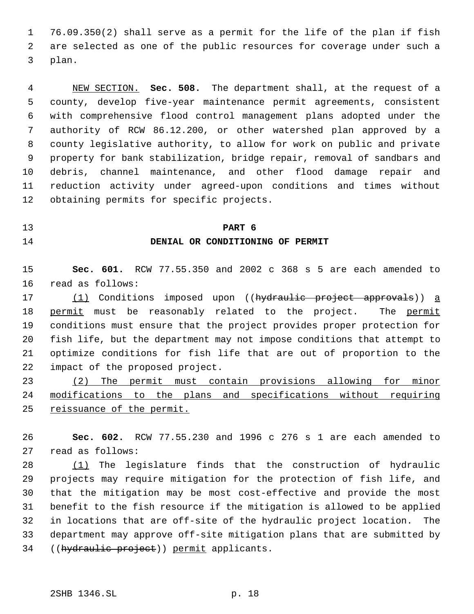76.09.350(2) shall serve as a permit for the life of the plan if fish are selected as one of the public resources for coverage under such a plan.

 NEW SECTION. **Sec. 508.** The department shall, at the request of a county, develop five-year maintenance permit agreements, consistent with comprehensive flood control management plans adopted under the authority of RCW 86.12.200, or other watershed plan approved by a county legislative authority, to allow for work on public and private property for bank stabilization, bridge repair, removal of sandbars and debris, channel maintenance, and other flood damage repair and reduction activity under agreed-upon conditions and times without obtaining permits for specific projects.

#### **PART 6**

### **DENIAL OR CONDITIONING OF PERMIT**

 **Sec. 601.** RCW 77.55.350 and 2002 c 368 s 5 are each amended to read as follows:

17 (1) Conditions imposed upon ((hydraulic project approvals)) a 18 permit must be reasonably related to the project. The permit conditions must ensure that the project provides proper protection for fish life, but the department may not impose conditions that attempt to optimize conditions for fish life that are out of proportion to the impact of the proposed project.

 (2) The permit must contain provisions allowing for minor modifications to the plans and specifications without requiring 25 reissuance of the permit.

 **Sec. 602.** RCW 77.55.230 and 1996 c 276 s 1 are each amended to read as follows:

 (1) The legislature finds that the construction of hydraulic projects may require mitigation for the protection of fish life, and that the mitigation may be most cost-effective and provide the most benefit to the fish resource if the mitigation is allowed to be applied in locations that are off-site of the hydraulic project location. The department may approve off-site mitigation plans that are submitted by 34 ((hydraulic project)) permit applicants.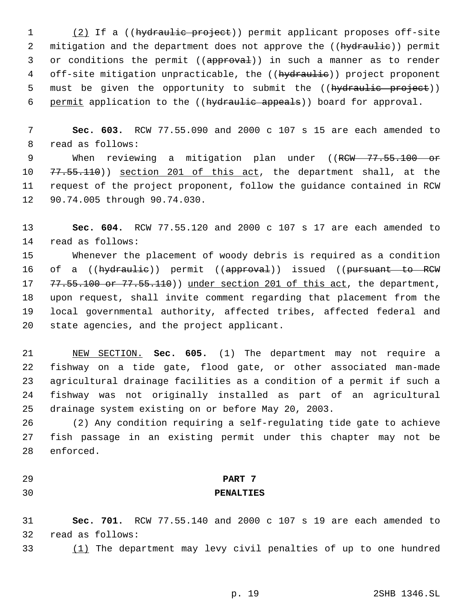1 (2) If a ((hydraulic project)) permit applicant proposes off-site 2 mitigation and the department does not approve the ((hydraulie)) permit 3 or conditions the permit ((approval)) in such a manner as to render 4 off-site mitigation unpracticable, the ((hydraulie)) project proponent 5 must be given the opportunity to submit the ((hydraulic project)) 6 permit application to the ((hydraulic appeals)) board for approval.

 **Sec. 603.** RCW 77.55.090 and 2000 c 107 s 15 are each amended to read as follows:

9 When reviewing a mitigation plan under ((RCW 77.55.100 or 10 77.55.110)) section 201 of this act, the department shall, at the request of the project proponent, follow the guidance contained in RCW 90.74.005 through 90.74.030.

 **Sec. 604.** RCW 77.55.120 and 2000 c 107 s 17 are each amended to read as follows:

 Whenever the placement of woody debris is required as a condition 16 of a ((hydraulie)) permit ((approval)) issued ((pursuant to RCW 17 77.55.100 or 77.55.110)) under section 201 of this act, the department, upon request, shall invite comment regarding that placement from the local governmental authority, affected tribes, affected federal and state agencies, and the project applicant.

 NEW SECTION. **Sec. 605.** (1) The department may not require a fishway on a tide gate, flood gate, or other associated man-made agricultural drainage facilities as a condition of a permit if such a fishway was not originally installed as part of an agricultural drainage system existing on or before May 20, 2003.

 (2) Any condition requiring a self-regulating tide gate to achieve fish passage in an existing permit under this chapter may not be enforced.

# **PART 7**

### **PENALTIES**

 **Sec. 701.** RCW 77.55.140 and 2000 c 107 s 19 are each amended to read as follows:

(1) The department may levy civil penalties of up to one hundred

p. 19 2SHB 1346.SL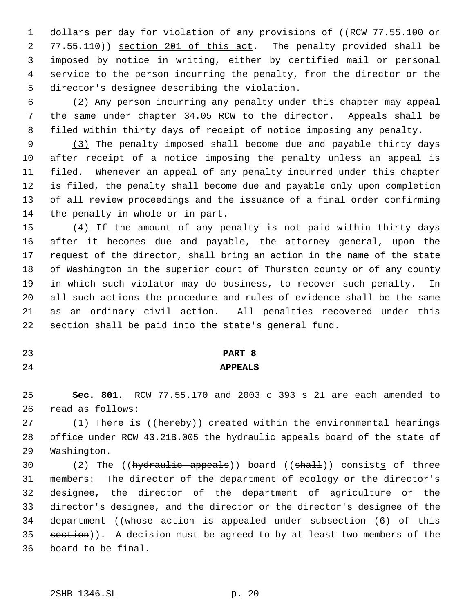1 dollars per day for violation of any provisions of ((RCW 77.55.100 or 2 77.55.110)) section 201 of this act. The penalty provided shall be imposed by notice in writing, either by certified mail or personal service to the person incurring the penalty, from the director or the director's designee describing the violation.

 (2) Any person incurring any penalty under this chapter may appeal the same under chapter 34.05 RCW to the director. Appeals shall be filed within thirty days of receipt of notice imposing any penalty.

 (3) The penalty imposed shall become due and payable thirty days after receipt of a notice imposing the penalty unless an appeal is filed. Whenever an appeal of any penalty incurred under this chapter is filed, the penalty shall become due and payable only upon completion of all review proceedings and the issuance of a final order confirming the penalty in whole or in part.

 (4) If the amount of any penalty is not paid within thirty days 16 after it becomes due and payable, the attorney general, upon the 17 request of the director, shall bring an action in the name of the state of Washington in the superior court of Thurston county or of any county in which such violator may do business, to recover such penalty. In all such actions the procedure and rules of evidence shall be the same as an ordinary civil action. All penalties recovered under this section shall be paid into the state's general fund.

**PART 8**

# **APPEALS**

 **Sec. 801.** RCW 77.55.170 and 2003 c 393 s 21 are each amended to read as follows:

27 (1) There is ((hereby)) created within the environmental hearings office under RCW 43.21B.005 the hydraulic appeals board of the state of Washington.

30 (2) The ((hydraulic appeals)) board ((shall)) consists of three members: The director of the department of ecology or the director's designee, the director of the department of agriculture or the director's designee, and the director or the director's designee of the department ((whose action is appealed under subsection (6) of this 35 section)). A decision must be agreed to by at least two members of the board to be final.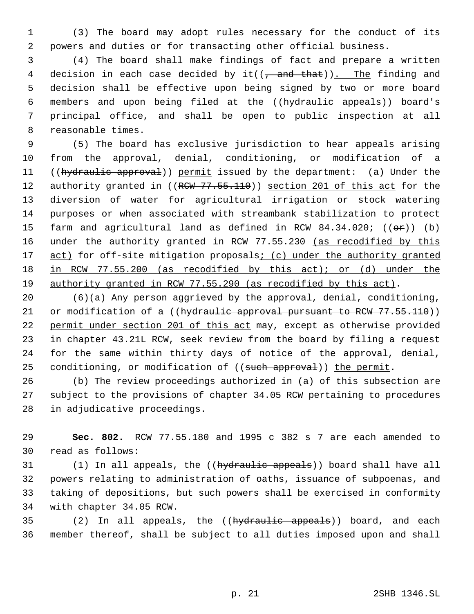(3) The board may adopt rules necessary for the conduct of its powers and duties or for transacting other official business.

 (4) The board shall make findings of fact and prepare a written 4 decision in each case decided by it( $(\tau$  and that)). The finding and decision shall be effective upon being signed by two or more board members and upon being filed at the ((hydraulic appeals)) board's principal office, and shall be open to public inspection at all reasonable times.

 (5) The board has exclusive jurisdiction to hear appeals arising from the approval, denial, conditioning, or modification of a 11 ((hydraulic approval)) permit issued by the department: (a) Under the 12 authority granted in ((RCW 77.55.110)) section 201 of this act for the diversion of water for agricultural irrigation or stock watering purposes or when associated with streambank stabilization to protect 15 farm and agricultural land as defined in RCW  $84.34.020$ ; (( $\Theta$ r)) (b) 16 under the authority granted in RCW 77.55.230 (as recodified by this 17 act) for off-site mitigation proposals; (c) under the authority granted in RCW 77.55.200 (as recodified by this act); or (d) under the authority granted in RCW 77.55.290 (as recodified by this act).

 (6)(a) Any person aggrieved by the approval, denial, conditioning, 21 or modification of a (( $hydrault$  approval pursuant to RCW 77.55.110)) permit under section 201 of this act may, except as otherwise provided in chapter 43.21L RCW, seek review from the board by filing a request for the same within thirty days of notice of the approval, denial, 25 conditioning, or modification of ((such approval)) the permit.

 (b) The review proceedings authorized in (a) of this subsection are subject to the provisions of chapter 34.05 RCW pertaining to procedures in adjudicative proceedings.

 **Sec. 802.** RCW 77.55.180 and 1995 c 382 s 7 are each amended to read as follows:

31 (1) In all appeals, the ((hydraulic appeals)) board shall have all powers relating to administration of oaths, issuance of subpoenas, and taking of depositions, but such powers shall be exercised in conformity with chapter 34.05 RCW.

35 (2) In all appeals, the ((hydraulic appeals)) board, and each member thereof, shall be subject to all duties imposed upon and shall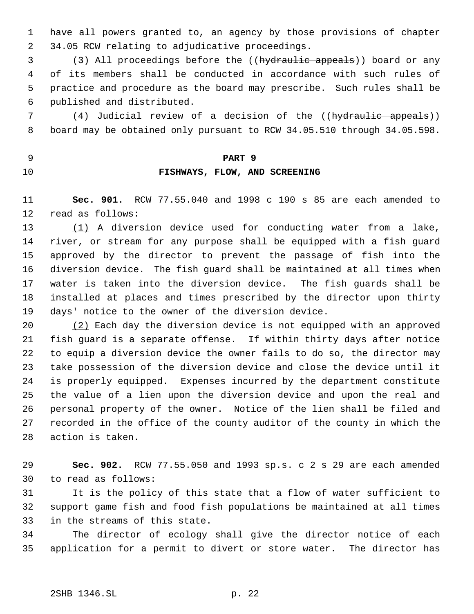have all powers granted to, an agency by those provisions of chapter 34.05 RCW relating to adjudicative proceedings.

3 (3) All proceedings before the ((hydraulic appeals)) board or any of its members shall be conducted in accordance with such rules of practice and procedure as the board may prescribe. Such rules shall be published and distributed.

7 (4) Judicial review of a decision of the ((hydraulic appeals)) board may be obtained only pursuant to RCW 34.05.510 through 34.05.598.

**PART 9**

# **FISHWAYS, FLOW, AND SCREENING**

 **Sec. 901.** RCW 77.55.040 and 1998 c 190 s 85 are each amended to read as follows:

 (1) A diversion device used for conducting water from a lake, river, or stream for any purpose shall be equipped with a fish guard approved by the director to prevent the passage of fish into the diversion device. The fish guard shall be maintained at all times when water is taken into the diversion device. The fish guards shall be installed at places and times prescribed by the director upon thirty days' notice to the owner of the diversion device.

 (2) Each day the diversion device is not equipped with an approved fish guard is a separate offense. If within thirty days after notice to equip a diversion device the owner fails to do so, the director may take possession of the diversion device and close the device until it is properly equipped. Expenses incurred by the department constitute the value of a lien upon the diversion device and upon the real and personal property of the owner. Notice of the lien shall be filed and recorded in the office of the county auditor of the county in which the action is taken.

 **Sec. 902.** RCW 77.55.050 and 1993 sp.s. c 2 s 29 are each amended to read as follows:

 It is the policy of this state that a flow of water sufficient to support game fish and food fish populations be maintained at all times in the streams of this state.

 The director of ecology shall give the director notice of each application for a permit to divert or store water. The director has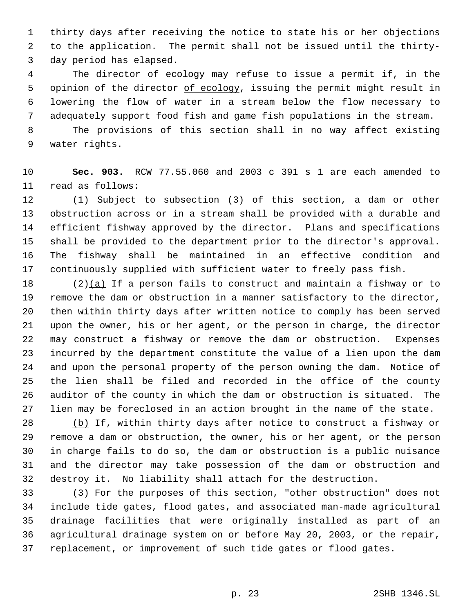thirty days after receiving the notice to state his or her objections to the application. The permit shall not be issued until the thirty- day period has elapsed.

 The director of ecology may refuse to issue a permit if, in the 5 opinion of the director of ecology, issuing the permit might result in lowering the flow of water in a stream below the flow necessary to adequately support food fish and game fish populations in the stream.

 The provisions of this section shall in no way affect existing water rights.

 **Sec. 903.** RCW 77.55.060 and 2003 c 391 s 1 are each amended to read as follows:

 (1) Subject to subsection (3) of this section, a dam or other obstruction across or in a stream shall be provided with a durable and efficient fishway approved by the director. Plans and specifications shall be provided to the department prior to the director's approval. The fishway shall be maintained in an effective condition and continuously supplied with sufficient water to freely pass fish.

18 (2) $(a)$  If a person fails to construct and maintain a fishway or to remove the dam or obstruction in a manner satisfactory to the director, then within thirty days after written notice to comply has been served upon the owner, his or her agent, or the person in charge, the director may construct a fishway or remove the dam or obstruction. Expenses incurred by the department constitute the value of a lien upon the dam and upon the personal property of the person owning the dam. Notice of the lien shall be filed and recorded in the office of the county auditor of the county in which the dam or obstruction is situated. The lien may be foreclosed in an action brought in the name of the state.

 (b) If, within thirty days after notice to construct a fishway or remove a dam or obstruction, the owner, his or her agent, or the person in charge fails to do so, the dam or obstruction is a public nuisance and the director may take possession of the dam or obstruction and destroy it. No liability shall attach for the destruction.

 (3) For the purposes of this section, "other obstruction" does not include tide gates, flood gates, and associated man-made agricultural drainage facilities that were originally installed as part of an agricultural drainage system on or before May 20, 2003, or the repair, 37 replacement, or improvement of such tide gates or flood gates.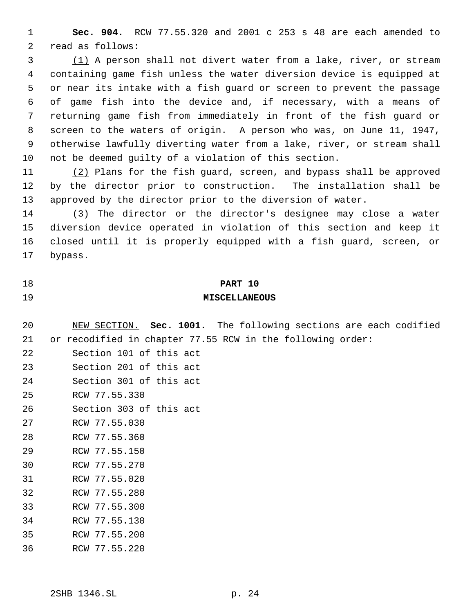**Sec. 904.** RCW 77.55.320 and 2001 c 253 s 48 are each amended to read as follows:

 (1) A person shall not divert water from a lake, river, or stream containing game fish unless the water diversion device is equipped at or near its intake with a fish guard or screen to prevent the passage of game fish into the device and, if necessary, with a means of returning game fish from immediately in front of the fish guard or screen to the waters of origin. A person who was, on June 11, 1947, otherwise lawfully diverting water from a lake, river, or stream shall not be deemed guilty of a violation of this section.

 (2) Plans for the fish guard, screen, and bypass shall be approved by the director prior to construction. The installation shall be approved by the director prior to the diversion of water.

 (3) The director or the director's designee may close a water diversion device operated in violation of this section and keep it closed until it is properly equipped with a fish guard, screen, or bypass.

# **PART 10**

# **MISCELLANEOUS**

 NEW SECTION. **Sec. 1001.** The following sections are each codified or recodified in chapter 77.55 RCW in the following order:

- Section 101 of this act
- Section 201 of this act
- Section 301 of this act
- RCW 77.55.330
- Section 303 of this act
- RCW 77.55.030
- RCW 77.55.360
- RCW 77.55.150
- RCW 77.55.270
- RCW 77.55.020
- RCW 77.55.280
- RCW 77.55.300
- RCW 77.55.130
- RCW 77.55.200
- RCW 77.55.220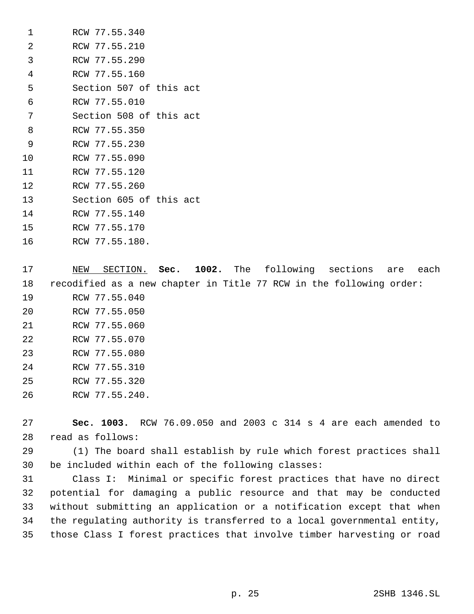| 1              | RCW 77.55.340           |
|----------------|-------------------------|
| 2              | RCW 77.55.210           |
| 3              | RCW 77.55.290           |
| $\overline{4}$ | RCW 77.55.160           |
| 5              | Section 507 of this act |
| 6              | RCW 77.55.010           |
| 7              | Section 508 of this act |
| 8              | RCW 77.55.350           |
| 9              | RCW 77.55.230           |
| 10             | RCW 77.55.090           |
| 11             | RCW 77.55.120           |
| 12             | RCW 77.55.260           |
| 13             | Section 605 of this act |
| 14             | RCW 77.55.140           |
| 15             | RCW 77.55.170           |
|                |                         |

RCW 77.55.180.

 NEW SECTION. **Sec. 1002.** The following sections are each recodified as a new chapter in Title 77 RCW in the following order: RCW 77.55.040 RCW 77.55.050 RCW 77.55.060 RCW 77.55.070 RCW 77.55.080 RCW 77.55.310 RCW 77.55.320 RCW 77.55.240.

 **Sec. 1003.** RCW 76.09.050 and 2003 c 314 s 4 are each amended to read as follows:

 (1) The board shall establish by rule which forest practices shall be included within each of the following classes:

 Class I: Minimal or specific forest practices that have no direct potential for damaging a public resource and that may be conducted without submitting an application or a notification except that when the regulating authority is transferred to a local governmental entity, those Class I forest practices that involve timber harvesting or road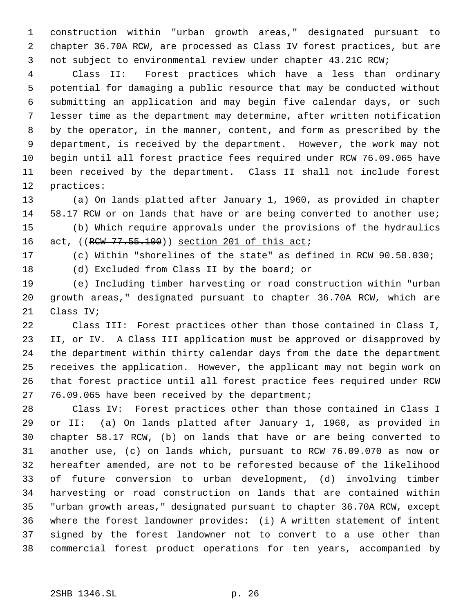construction within "urban growth areas," designated pursuant to chapter 36.70A RCW, are processed as Class IV forest practices, but are not subject to environmental review under chapter 43.21C RCW;

 Class II: Forest practices which have a less than ordinary potential for damaging a public resource that may be conducted without submitting an application and may begin five calendar days, or such lesser time as the department may determine, after written notification by the operator, in the manner, content, and form as prescribed by the department, is received by the department. However, the work may not begin until all forest practice fees required under RCW 76.09.065 have been received by the department. Class II shall not include forest practices:

 (a) On lands platted after January 1, 1960, as provided in chapter 14 58.17 RCW or on lands that have or are being converted to another use; (b) Which require approvals under the provisions of the hydraulics 16 act, ((RCW 77.55.100)) section 201 of this act;

(c) Within "shorelines of the state" as defined in RCW 90.58.030;

(d) Excluded from Class II by the board; or

 (e) Including timber harvesting or road construction within "urban growth areas," designated pursuant to chapter 36.70A RCW, which are Class IV;

 Class III: Forest practices other than those contained in Class I, II, or IV. A Class III application must be approved or disapproved by the department within thirty calendar days from the date the department receives the application. However, the applicant may not begin work on that forest practice until all forest practice fees required under RCW 27 76.09.065 have been received by the department;

 Class IV: Forest practices other than those contained in Class I or II: (a) On lands platted after January 1, 1960, as provided in chapter 58.17 RCW, (b) on lands that have or are being converted to another use, (c) on lands which, pursuant to RCW 76.09.070 as now or hereafter amended, are not to be reforested because of the likelihood of future conversion to urban development, (d) involving timber harvesting or road construction on lands that are contained within "urban growth areas," designated pursuant to chapter 36.70A RCW, except where the forest landowner provides: (i) A written statement of intent signed by the forest landowner not to convert to a use other than commercial forest product operations for ten years, accompanied by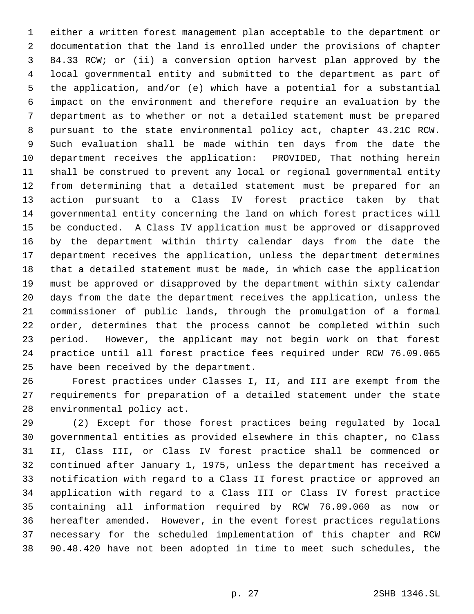either a written forest management plan acceptable to the department or documentation that the land is enrolled under the provisions of chapter 84.33 RCW; or (ii) a conversion option harvest plan approved by the local governmental entity and submitted to the department as part of the application, and/or (e) which have a potential for a substantial impact on the environment and therefore require an evaluation by the department as to whether or not a detailed statement must be prepared pursuant to the state environmental policy act, chapter 43.21C RCW. Such evaluation shall be made within ten days from the date the department receives the application: PROVIDED, That nothing herein shall be construed to prevent any local or regional governmental entity from determining that a detailed statement must be prepared for an action pursuant to a Class IV forest practice taken by that governmental entity concerning the land on which forest practices will be conducted. A Class IV application must be approved or disapproved by the department within thirty calendar days from the date the department receives the application, unless the department determines that a detailed statement must be made, in which case the application must be approved or disapproved by the department within sixty calendar days from the date the department receives the application, unless the commissioner of public lands, through the promulgation of a formal order, determines that the process cannot be completed within such period. However, the applicant may not begin work on that forest practice until all forest practice fees required under RCW 76.09.065 have been received by the department.

 Forest practices under Classes I, II, and III are exempt from the requirements for preparation of a detailed statement under the state environmental policy act.

 (2) Except for those forest practices being regulated by local governmental entities as provided elsewhere in this chapter, no Class II, Class III, or Class IV forest practice shall be commenced or continued after January 1, 1975, unless the department has received a notification with regard to a Class II forest practice or approved an application with regard to a Class III or Class IV forest practice containing all information required by RCW 76.09.060 as now or hereafter amended. However, in the event forest practices regulations necessary for the scheduled implementation of this chapter and RCW 90.48.420 have not been adopted in time to meet such schedules, the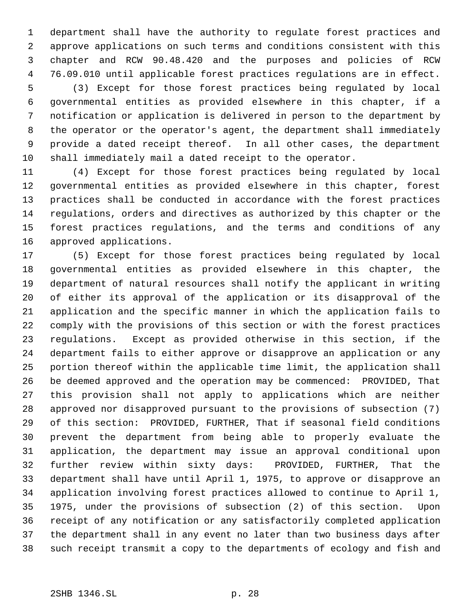department shall have the authority to regulate forest practices and approve applications on such terms and conditions consistent with this chapter and RCW 90.48.420 and the purposes and policies of RCW 76.09.010 until applicable forest practices regulations are in effect. (3) Except for those forest practices being regulated by local

 governmental entities as provided elsewhere in this chapter, if a notification or application is delivered in person to the department by the operator or the operator's agent, the department shall immediately provide a dated receipt thereof. In all other cases, the department shall immediately mail a dated receipt to the operator.

 (4) Except for those forest practices being regulated by local governmental entities as provided elsewhere in this chapter, forest practices shall be conducted in accordance with the forest practices regulations, orders and directives as authorized by this chapter or the forest practices regulations, and the terms and conditions of any approved applications.

 (5) Except for those forest practices being regulated by local governmental entities as provided elsewhere in this chapter, the department of natural resources shall notify the applicant in writing of either its approval of the application or its disapproval of the application and the specific manner in which the application fails to comply with the provisions of this section or with the forest practices regulations. Except as provided otherwise in this section, if the department fails to either approve or disapprove an application or any portion thereof within the applicable time limit, the application shall be deemed approved and the operation may be commenced: PROVIDED, That this provision shall not apply to applications which are neither approved nor disapproved pursuant to the provisions of subsection (7) of this section: PROVIDED, FURTHER, That if seasonal field conditions prevent the department from being able to properly evaluate the application, the department may issue an approval conditional upon further review within sixty days: PROVIDED, FURTHER, That the department shall have until April 1, 1975, to approve or disapprove an application involving forest practices allowed to continue to April 1, 1975, under the provisions of subsection (2) of this section. Upon receipt of any notification or any satisfactorily completed application the department shall in any event no later than two business days after such receipt transmit a copy to the departments of ecology and fish and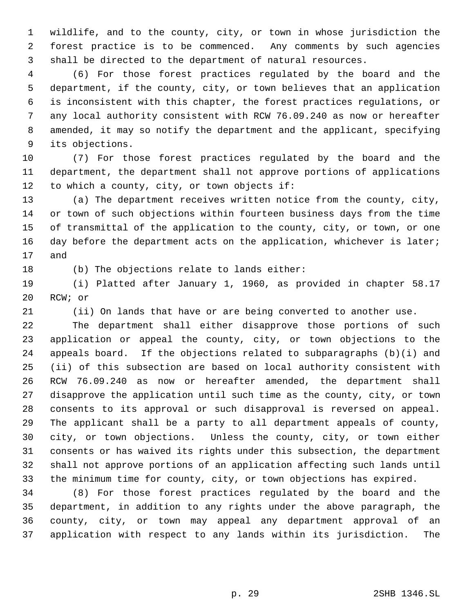wildlife, and to the county, city, or town in whose jurisdiction the forest practice is to be commenced. Any comments by such agencies shall be directed to the department of natural resources.

 (6) For those forest practices regulated by the board and the department, if the county, city, or town believes that an application is inconsistent with this chapter, the forest practices regulations, or any local authority consistent with RCW 76.09.240 as now or hereafter amended, it may so notify the department and the applicant, specifying its objections.

 (7) For those forest practices regulated by the board and the department, the department shall not approve portions of applications to which a county, city, or town objects if:

 (a) The department receives written notice from the county, city, or town of such objections within fourteen business days from the time of transmittal of the application to the county, city, or town, or one 16 day before the department acts on the application, whichever is later; and

(b) The objections relate to lands either:

 (i) Platted after January 1, 1960, as provided in chapter 58.17 RCW; or

(ii) On lands that have or are being converted to another use.

 The department shall either disapprove those portions of such application or appeal the county, city, or town objections to the appeals board. If the objections related to subparagraphs (b)(i) and (ii) of this subsection are based on local authority consistent with RCW 76.09.240 as now or hereafter amended, the department shall disapprove the application until such time as the county, city, or town consents to its approval or such disapproval is reversed on appeal. The applicant shall be a party to all department appeals of county, city, or town objections. Unless the county, city, or town either consents or has waived its rights under this subsection, the department shall not approve portions of an application affecting such lands until the minimum time for county, city, or town objections has expired.

 (8) For those forest practices regulated by the board and the department, in addition to any rights under the above paragraph, the county, city, or town may appeal any department approval of an application with respect to any lands within its jurisdiction. The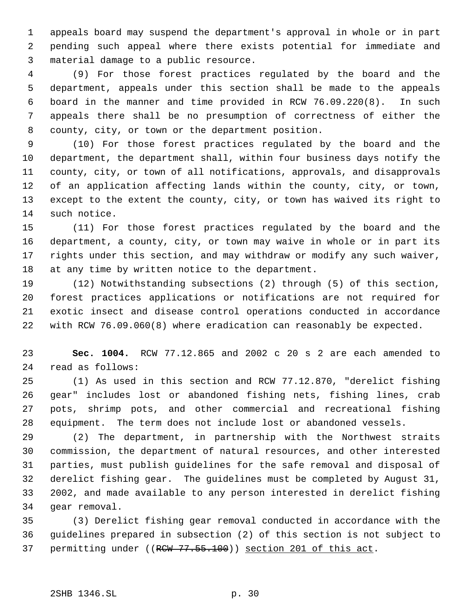appeals board may suspend the department's approval in whole or in part pending such appeal where there exists potential for immediate and material damage to a public resource.

 (9) For those forest practices regulated by the board and the department, appeals under this section shall be made to the appeals board in the manner and time provided in RCW 76.09.220(8). In such appeals there shall be no presumption of correctness of either the county, city, or town or the department position.

 (10) For those forest practices regulated by the board and the department, the department shall, within four business days notify the county, city, or town of all notifications, approvals, and disapprovals of an application affecting lands within the county, city, or town, except to the extent the county, city, or town has waived its right to such notice.

 (11) For those forest practices regulated by the board and the department, a county, city, or town may waive in whole or in part its rights under this section, and may withdraw or modify any such waiver, at any time by written notice to the department.

 (12) Notwithstanding subsections (2) through (5) of this section, forest practices applications or notifications are not required for exotic insect and disease control operations conducted in accordance with RCW 76.09.060(8) where eradication can reasonably be expected.

 **Sec. 1004.** RCW 77.12.865 and 2002 c 20 s 2 are each amended to read as follows:

 (1) As used in this section and RCW 77.12.870, "derelict fishing gear" includes lost or abandoned fishing nets, fishing lines, crab pots, shrimp pots, and other commercial and recreational fishing equipment. The term does not include lost or abandoned vessels.

 (2) The department, in partnership with the Northwest straits commission, the department of natural resources, and other interested parties, must publish guidelines for the safe removal and disposal of derelict fishing gear. The guidelines must be completed by August 31, 2002, and made available to any person interested in derelict fishing gear removal.

 (3) Derelict fishing gear removal conducted in accordance with the guidelines prepared in subsection (2) of this section is not subject to 37 permitting under ((RCW 77.55.100)) section 201 of this act.

# 2SHB 1346.SL p. 30